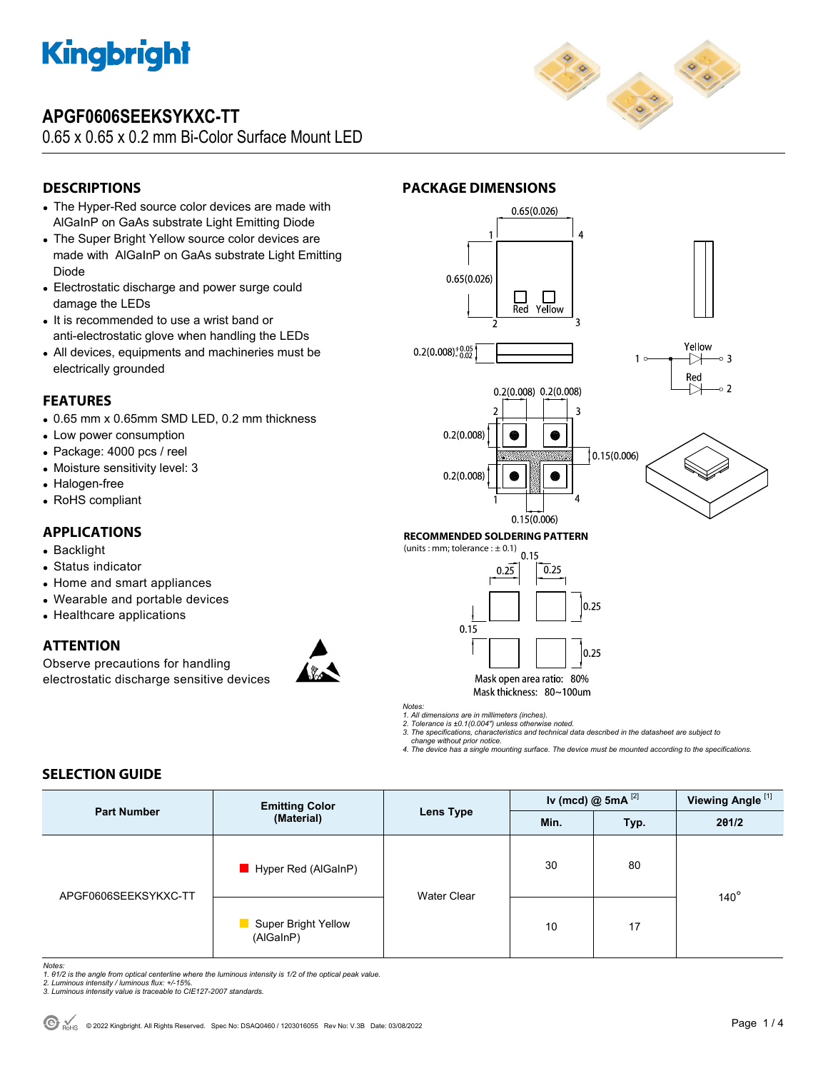

## **APGF0606SEEKSYKXC-TT**

0.65 x 0.65 x 0.2 mm Bi-Color Surface Mount LED



### **DESCRIPTIONS**

- The Hyper-Red source color devices are made with AlGaInP on GaAs substrate Light Emitting Diode
- The Super Bright Yellow source color devices are made with AlGaInP on GaAs substrate Light Emitting Diode
- Electrostatic discharge and power surge could damage the LEDs
- It is recommended to use a wrist band or anti-electrostatic glove when handling the LEDs
- All devices, equipments and machineries must be electrically grounded

#### **FEATURES**

- 0.65 mm x 0.65mm SMD LED, 0.2 mm thickness
- Low power consumption
- Package: 4000 pcs / reel
- Moisture sensitivity level: 3
- Halogen-free
- RoHS compliant

#### **APPLICATIONS**

- Backlight
- Status indicator
- Home and smart appliances
- Wearable and portable devices
- Healthcare applications

#### **ATTENTION**

Observe precautions for handling electrostatic discharge sensitive devices



#### **PACKAGE DIMENSIONS**





*Notes:* 

*1. All dimensions are in millimeters (inches). 2. Tolerance is ±0.1(0.004") unless otherwise noted.* 

*3. The specifications, characteristics and technical data described in the datasheet are subject to change without prior notice.* 

*4. The device has a single mounting surface. The device must be mounted according to the specifications.* 

#### **SELECTION GUIDE**

| <b>Part Number</b>   | <b>Emitting Color</b><br>(Material)    | Lens Type          | Iv (mcd) $@$ 5mA $^{[2]}$ |      | Viewing Angle <sup>[1]</sup> |
|----------------------|----------------------------------------|--------------------|---------------------------|------|------------------------------|
|                      |                                        |                    | Min.                      | Typ. | 201/2                        |
| APGF0606SEEKSYKXC-TT | Hyper Red (AlGaInP)                    | <b>Water Clear</b> | 30                        | 80   |                              |
|                      | Super Bright Yellow<br>×.<br>(AlGaInP) |                    | 10                        | 17   | $140^\circ$                  |

*Notes:* 

*1. θ1/2 is the angle from optical centerline where the luminous intensity is 1/2 of the optical peak value. 2. Luminous intensity / luminous flux: +/-15%.* 

*3. Luminous intensity value is traceable to CIE127-2007 standards.*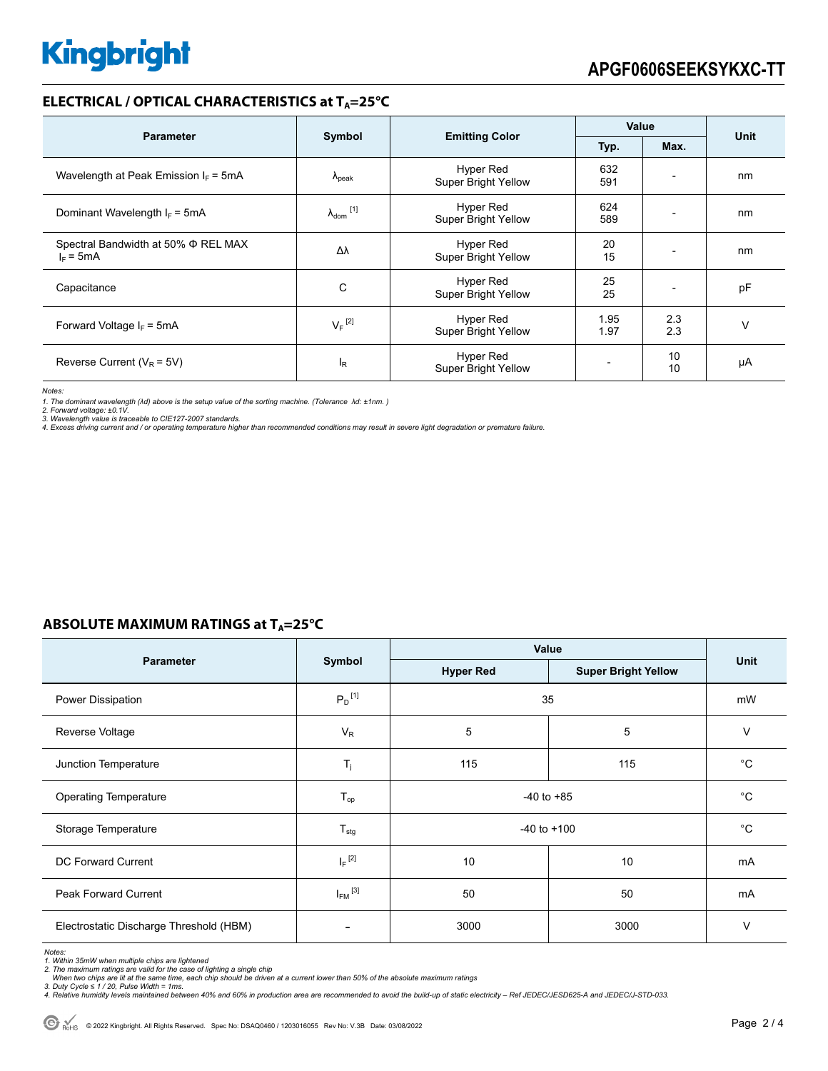### **ELECTRICAL / OPTICAL CHARACTERISTICS at T<sub>A</sub>=25°C**

| <b>Parameter</b>                                        |                            |                                                | <b>Value</b> |                          |      |
|---------------------------------------------------------|----------------------------|------------------------------------------------|--------------|--------------------------|------|
|                                                         | Symbol                     | <b>Emitting Color</b>                          | Typ.         | Max.                     | Unit |
| Wavelength at Peak Emission $I_F = 5mA$                 | $\Lambda_{\rm peak}$       | Hyper Red<br><b>Super Bright Yellow</b>        | 632<br>591   |                          | nm   |
| Dominant Wavelength $I_F = 5mA$                         | $\lambda_{\text{dom}}$ [1] | Hyper Red<br>Super Bright Yellow               | 624<br>589   |                          | nm   |
| Spectral Bandwidth at 50% $\Phi$ REL MAX<br>$I_F = 5mA$ | Δλ                         | Hyper Red<br><b>Super Bright Yellow</b>        | 20<br>15     | $\overline{\phantom{0}}$ | nm   |
| Capacitance                                             | C                          | Hyper Red<br><b>Super Bright Yellow</b>        | 25<br>25     |                          | pF   |
| Forward Voltage $I_F$ = 5mA                             | $V_F$ <sup>[2]</sup>       | Hyper Red<br>Super Bright Yellow               | 1.95<br>1.97 | 2.3<br>2.3               | v    |
| Reverse Current ( $V_R$ = 5V)                           | <sup>I</sup> R             | <b>Hyper Red</b><br><b>Super Bright Yellow</b> |              | 10<br>10                 | μA   |

*Notes:* 

1. The dominant wavelength (λd) above is the setup value of the sorting machine. (Tolerance λd: ±1nm. )<br>2. Forward voltage: ±0.1V.<br>3. Wavelength value is traceable to CIE127-2007 standards.<br>4. Excess driving current and /

#### **ABSOLUTE MAXIMUM RATINGS at T<sub>A</sub>=25°C**

|                                         |                         | Value            |                            |             |  |
|-----------------------------------------|-------------------------|------------------|----------------------------|-------------|--|
| <b>Parameter</b>                        | Symbol                  | <b>Hyper Red</b> | <b>Super Bright Yellow</b> | <b>Unit</b> |  |
| Power Dissipation                       | $P_D$ <sup>[1]</sup>    | 35               | mW                         |             |  |
| Reverse Voltage                         | $V_{R}$                 | 5                | 5                          | V           |  |
| Junction Temperature                    | $T_j$                   | 115              | 115                        | $^{\circ}C$ |  |
| <b>Operating Temperature</b>            | $T_{op}$                | $-40$ to $+85$   |                            | $^{\circ}C$ |  |
| Storage Temperature                     | $T_{\text{stg}}$        | $-40$ to $+100$  | $^{\circ}C$                |             |  |
| <b>DC Forward Current</b>               | $I_F$ <sup>[2]</sup>    | 10               | 10                         | mA          |  |
| <b>Peak Forward Current</b>             | $I_{FM}$ <sup>[3]</sup> | 50               | 50                         | mA          |  |
| Electrostatic Discharge Threshold (HBM) |                         | 3000             | 3000                       | $\vee$      |  |

Notes:<br>1. Within 35mW when multiple chips are lightened<br>2. The maximum ratings are valid for the case of lighting a single chip<br>2. The maximum ratings are valid for the case of lighting a single chip<br>3. Duty Cycle ≤ 1 / 20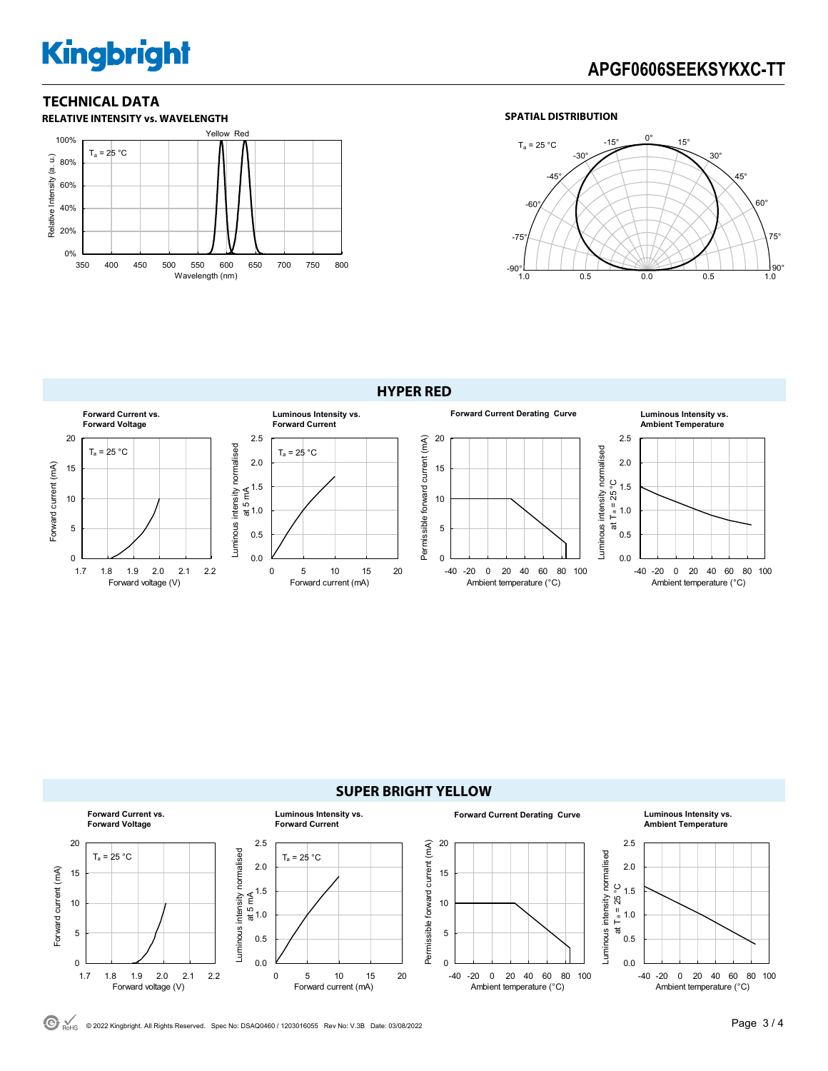# **Kingbright**

## **APGF0606SEEKSYKXC-TT**

### **TECHNICAL DATA**



Forward voltage (V)

#### **SPATIAL DISTRIBUTION**



#### **HYPER RED Forward Current vs. Luminous Intensity vs. Forward Current Derating Curve Luminous Intensity vs. Forward Voltage Forward Current Ambient Temperature** 20 2.5 20 2.5 Permissible forward current (mA) Permissible forward current (mA) Luminous intensity normalised Luminous intensity normalised  $T_a = 25 °C$ Luminous intensity normalised  $T_a = 25 °C$ Luminous intensity normalised 2.0 2.0 Forward current (mA) Forward current (mA) 15 15 at T a = 25 °C ≨ <sup>1.5</sup><br>¤<br>ಹ 1.0 1.5 10 10 1.0 1.0 'ಸ 5 5  $0.5$ 0.5  $\Omega$  $0.0$  $\Omega$  $0.0$ 1.7 1.8 1.9 2.0 2.1 2.2 -40 -20 0 20 40 60 80 100 0 5 10 15 20

Forward current (mA)



#### **SUPER BRIGHT YELLOW Forward Current vs. Luminous Intensity vs. Forward Current Derating Curve Luminous Intensity vs. Forward Voltage Forward Current Ambient Temperature** 20 2.5 2.5 20 Permissible forward current (mA) Permissible forward current (mA) uminous intensity normalised Luminous intensity normalised Luminous intensity normalised  $T_a = 25 °C$  $T_a = 25 °C$ Luminous intensity normalised 2.0 2.0 Forward current (mA) Forward current (mA) 15 15 ပ္ခ at Ta = 25 $\degree$ C 1.5 ≨ <sup>1.5</sup><br>¤<br>ಹ 1.0  $at \frac{1}{1}a = 25^\circ$ <br>  $at \frac{1}{1}a = 1.0$ 10 10 1.0 5 5 0.5 0.5 0 0.0 0 0.0 1.7 1.8 1.9 2.0 2.1 2.2 -40 -20 0 20 40 60 80 100 -40 -20 0 20 40 60 80 100 0 5 10 15 20 Forward voltage (V) Forward current (mA) Ambient temperature (°C) Ambient temperature (°C)

© 2022 Kingbright. All Rights Reserved. Spec No: DSAQ0460 / 1203016055 Rev No: V.3B Date: 03/08/2022Page 3 / 4

Ambient temperature (°C)